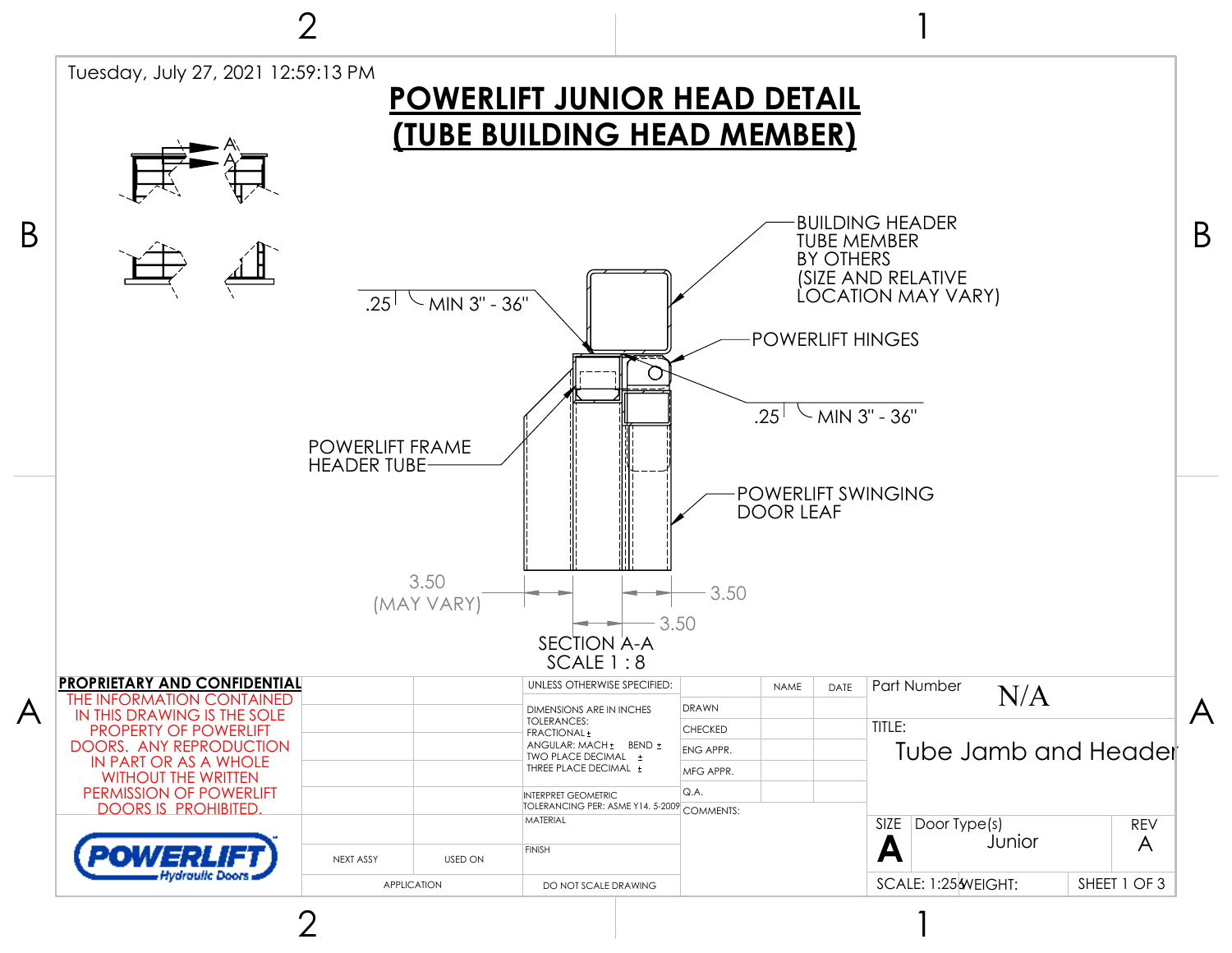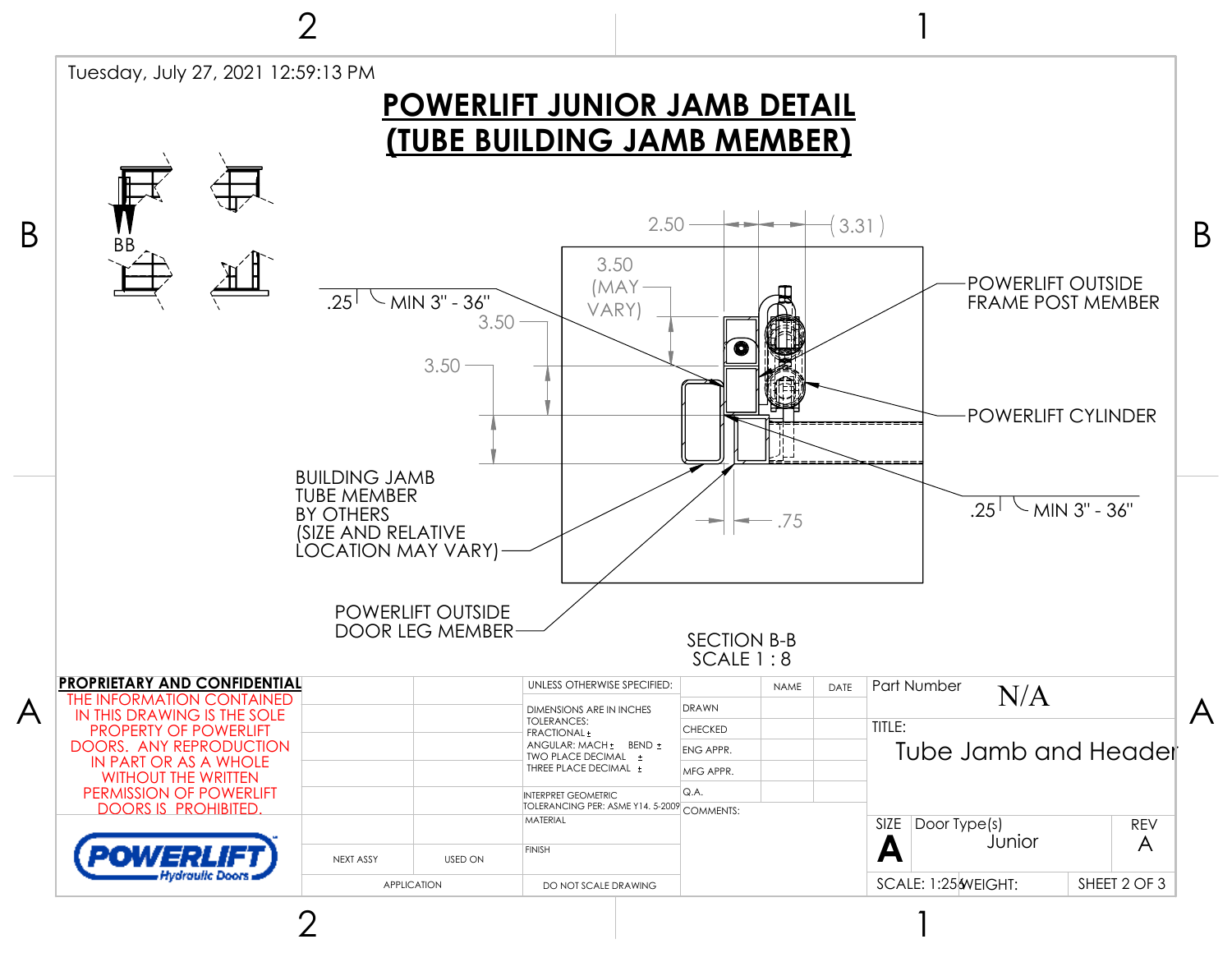

2